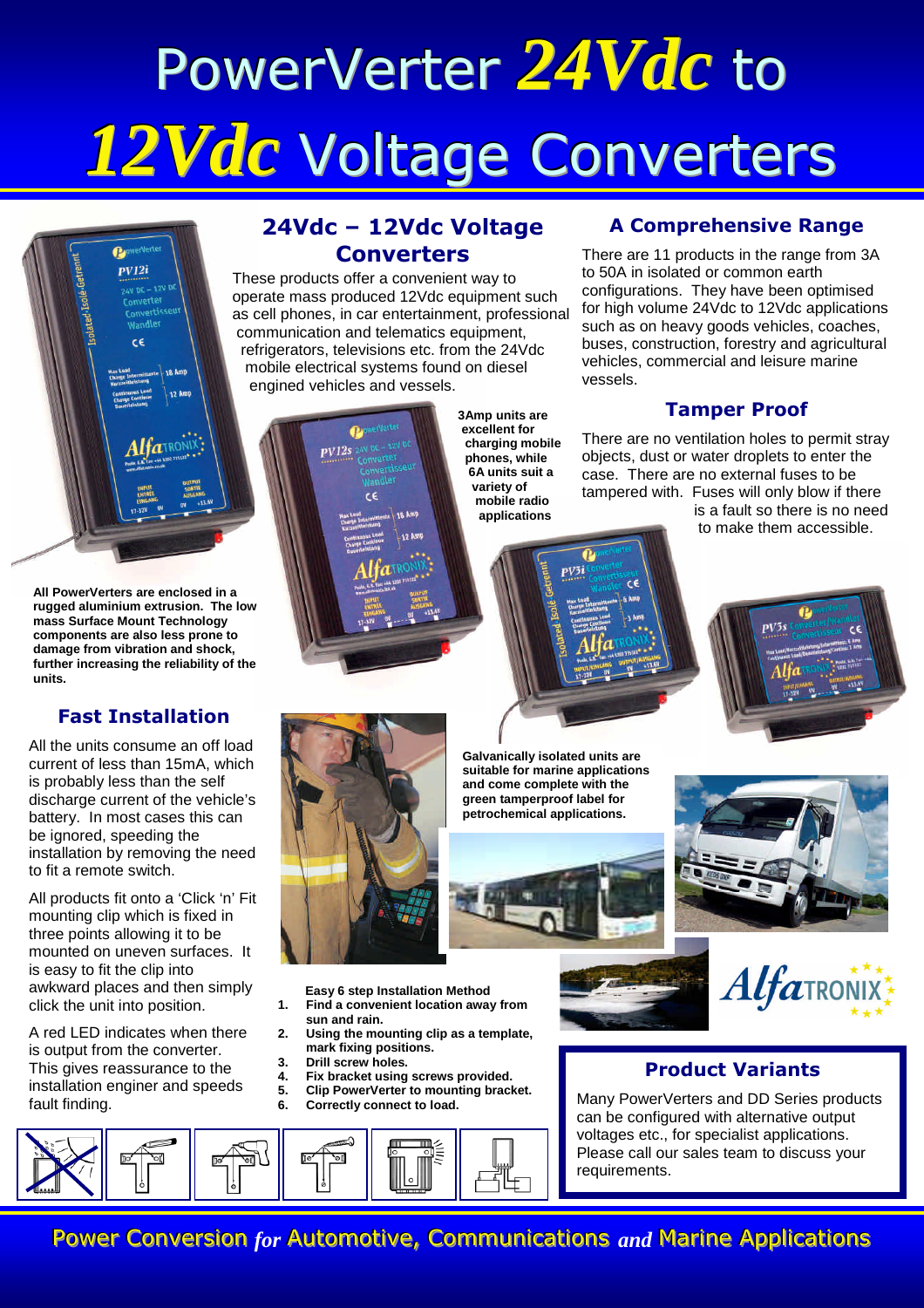# PowerVerter *24Vdc* to *12Vdc* Voltage Converters



**All PowerVerters are enclosed in a rugged aluminium extrusion. The low mass Surface Mount Technology components are also less prone to damage from vibration and shock, further increasing the reliability of the units.**

#### **Fast Installation**

All the units consume an off load current of less than 15mA, which is probably less than the self discharge current of the vehicle's battery. In most cases this can be ignored, speeding the installation by removing the need to fit a remote switch.

All products fit onto a 'Click 'n' Fit mounting clip which is fixed in three points allowing it to be mounted on uneven surfaces. It is easy to fit the clip into awkward places and then simply click the unit into position.

A red LED indicates when there is output from the converter. This gives reassurance to the installation enginer and speeds fault finding.

## **24Vdc – 12Vdc Voltage Converters**

These products offer a convenient way to operate mass produced 12Vdc equipment such as cell phones, in car entertainment, professional communication and telematics equipment, refrigerators, televisions etc. from the 24Vdc mobile electrical systems found on diesel engined vehicles and vessels.



 $PV12s$ 

**3Amp units are excellent for charging mobile phones, while 6A units suit a variety of mobile radio applications**

#### **A Comprehensive Range**

There are 11 products in the range from 3A to 50A in isolated or common earth configurations. They have been optimised for high volume 24Vdc to 12Vdc applications such as on heavy goods vehicles, coaches, buses, construction, forestry and agricultural vehicles, commercial and leisure marine vessels.

#### **Tamper Proof**

There are no ventilation holes to permit stray objects, dust or water droplets to enter the case. There are no external fuses to be tampered with. Fuses will only blow if there

is a fault so there is no need to make them accessible.



**Galvanically isolated units are suitable for marine applications and come complete with the green tamperproof label for petrochemical applications.**



**Easy 6 step Installation Method**

**1. Find a convenient location away from**

- **sun and rain.**
- **2. Using the mounting clip as a template, mark fixing positions.**
- **3. Drill screw holes.**
- **4. Fix bracket using screws provided.**
	- **5. Clip PowerVerter to mounting bracket.**
- **6. Correctly connect to load.**





### **Product Variants**

Many PowerVerters and DD Series products can be configured with alternative output voltages etc., for specialist applications. Please call our sales team to discuss your requirements.



Power Conversion *for* Automotive, Communications and Marine Applications